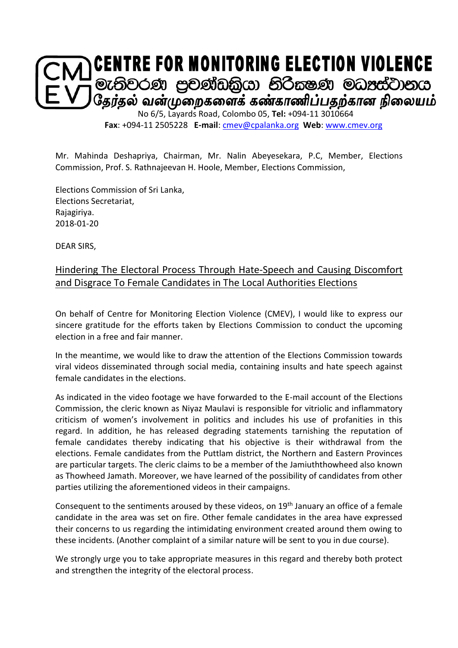

**Fax**: +094-11 2505228 **E-mail**: [cmev@cpalanka.org](mailto:cmev@cpalanka.org) **Web**: [www.cmev.org](http://www.cmev.org/)

Mr. Mahinda Deshapriya, Chairman, Mr. Nalin Abeyesekara, P.C, Member, Elections Commission, Prof. S. Rathnajeevan H. Hoole, Member, Elections Commission,

Elections Commission of Sri Lanka, Elections Secretariat, Rajagiriya. 2018-01-20

DEAR SIRS,

## Hindering The Electoral Process Through Hate-Speech and Causing Discomfort and Disgrace To Female Candidates in The Local Authorities Elections

On behalf of Centre for Monitoring Election Violence (CMEV), I would like to express our sincere gratitude for the efforts taken by Elections Commission to conduct the upcoming election in a free and fair manner.

In the meantime, we would like to draw the attention of the Elections Commission towards viral videos disseminated through social media, containing insults and hate speech against female candidates in the elections.

As indicated in the video footage we have forwarded to the E-mail account of the Elections Commission, the cleric known as Niyaz Maulavi is responsible for vitriolic and inflammatory criticism of women's involvement in politics and includes his use of profanities in this regard. In addition, he has released degrading statements tarnishing the reputation of female candidates thereby indicating that his objective is their withdrawal from the elections. Female candidates from the Puttlam district, the Northern and Eastern Provinces are particular targets. The cleric claims to be a member of the Jamiuththowheed also known as Thowheed Jamath. Moreover, we have learned of the possibility of candidates from other parties utilizing the aforementioned videos in their campaigns.

Consequent to the sentiments aroused by these videos, on 19<sup>th</sup> January an office of a female candidate in the area was set on fire. Other female candidates in the area have expressed their concerns to us regarding the intimidating environment created around them owing to these incidents. (Another complaint of a similar nature will be sent to you in due course).

We strongly urge you to take appropriate measures in this regard and thereby both protect and strengthen the integrity of the electoral process.